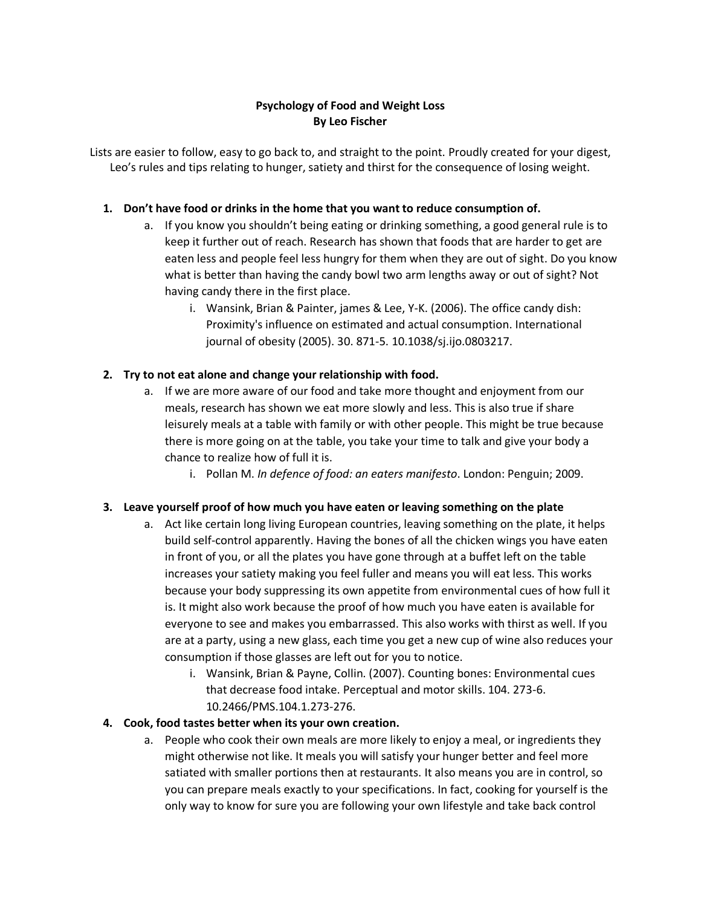## **Psychology of Food and Weight Loss By Leo Fischer**

Lists are easier to follow, easy to go back to, and straight to the point. Proudly created for your digest, Leo's rules and tips relating to hunger, satiety and thirst for the consequence of losing weight.

## **1. Don't have food or drinks in the home that you want to reduce consumption of.**

- a. If you know you shouldn't being eating or drinking something, a good general rule is to keep it further out of reach. Research has shown that foods that are harder to get are eaten less and people feel less hungry for them when they are out of sight. Do you know what is better than having the candy bowl two arm lengths away or out of sight? Not having candy there in the first place.
	- i. Wansink, Brian & Painter, james & Lee, Y-K. (2006). The office candy dish: Proximity's influence on estimated and actual consumption. International journal of obesity (2005). 30. 871-5. 10.1038/sj.ijo.0803217.

### **2. Try to not eat alone and change your relationship with food.**

- a. If we are more aware of our food and take more thought and enjoyment from our meals, research has shown we eat more slowly and less. This is also true if share leisurely meals at a table with family or with other people. This might be true because there is more going on at the table, you take your time to talk and give your body a chance to realize how of full it is.
	- i. Pollan M. *In defence of food: an eaters manifesto*. London: Penguin; 2009.

### **3. Leave yourself proof of how much you have eaten or leaving something on the plate**

- a. Act like certain long living European countries, leaving something on the plate, it helps build self-control apparently. Having the bones of all the chicken wings you have eaten in front of you, or all the plates you have gone through at a buffet left on the table increases your satiety making you feel fuller and means you will eat less. This works because your body suppressing its own appetite from environmental cues of how full it is. It might also work because the proof of how much you have eaten is available for everyone to see and makes you embarrassed. This also works with thirst as well. If you are at a party, using a new glass, each time you get a new cup of wine also reduces your consumption if those glasses are left out for you to notice.
	- i. Wansink, Brian & Payne, Collin. (2007). Counting bones: Environmental cues that decrease food intake. Perceptual and motor skills. 104. 273-6. 10.2466/PMS.104.1.273-276.

### **4. Cook, food tastes better when its your own creation.**

a. People who cook their own meals are more likely to enjoy a meal, or ingredients they might otherwise not like. It meals you will satisfy your hunger better and feel more satiated with smaller portions then at restaurants. It also means you are in control, so you can prepare meals exactly to your specifications. In fact, cooking for yourself is the only way to know for sure you are following your own lifestyle and take back control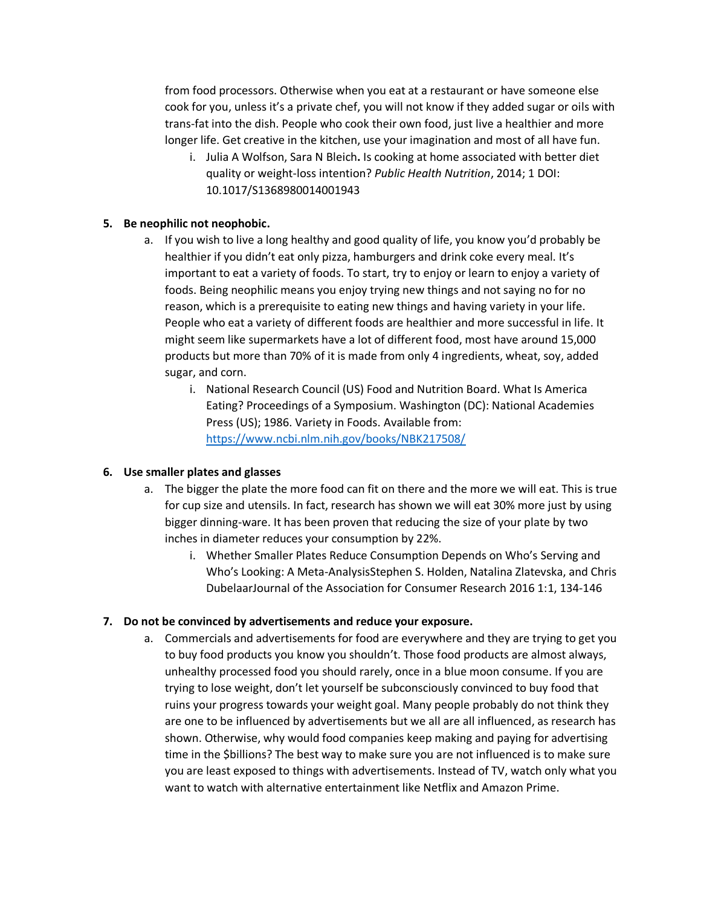from food processors. Otherwise when you eat at a restaurant or have someone else cook for you, unless it's a private chef, you will not know if they added sugar or oils with trans-fat into the dish. People who cook their own food, just live a healthier and more longer life. Get creative in the kitchen, use your imagination and most of all have fun.

i. Julia A Wolfson, Sara N Bleich**.** Is cooking at home associated with better diet quality or weight-loss intention? *Public Health Nutrition*, 2014; 1 DOI: 10.1017/S1368980014001943

#### **5. Be neophilic not neophobic.**

- a. If you wish to live a long healthy and good quality of life, you know you'd probably be healthier if you didn't eat only pizza, hamburgers and drink coke every meal. It's important to eat a variety of foods. To start, try to enjoy or learn to enjoy a variety of foods. Being neophilic means you enjoy trying new things and not saying no for no reason, which is a prerequisite to eating new things and having variety in your life. People who eat a variety of different foods are healthier and more successful in life. It might seem like supermarkets have a lot of different food, most have around 15,000 products but more than 70% of it is made from only 4 ingredients, wheat, soy, added sugar, and corn.
	- i. National Research Council (US) Food and Nutrition Board. What Is America Eating? Proceedings of a Symposium. Washington (DC): National Academies Press (US); 1986. Variety in Foods. Available from: <https://www.ncbi.nlm.nih.gov/books/NBK217508/>

#### **6. Use smaller plates and glasses**

- a. The bigger the plate the more food can fit on there and the more we will eat. This is true for cup size and utensils. In fact, research has shown we will eat 30% more just by using bigger dinning-ware. It has been proven that reducing the size of your plate by two inches in diameter reduces your consumption by 22%.
	- i. Whether Smaller Plates Reduce Consumption Depends on Who's Serving and Who's Looking: A Meta-AnalysisStephen S. Holden, Natalina Zlatevska, and Chris DubelaarJournal of the Association for Consumer Research 2016 1:1, 134-146

#### **7. Do not be convinced by advertisements and reduce your exposure.**

a. Commercials and advertisements for food are everywhere and they are trying to get you to buy food products you know you shouldn't. Those food products are almost always, unhealthy processed food you should rarely, once in a blue moon consume. If you are trying to lose weight, don't let yourself be subconsciously convinced to buy food that ruins your progress towards your weight goal. Many people probably do not think they are one to be influenced by advertisements but we all are all influenced, as research has shown. Otherwise, why would food companies keep making and paying for advertising time in the \$billions? The best way to make sure you are not influenced is to make sure you are least exposed to things with advertisements. Instead of TV, watch only what you want to watch with alternative entertainment like Netflix and Amazon Prime.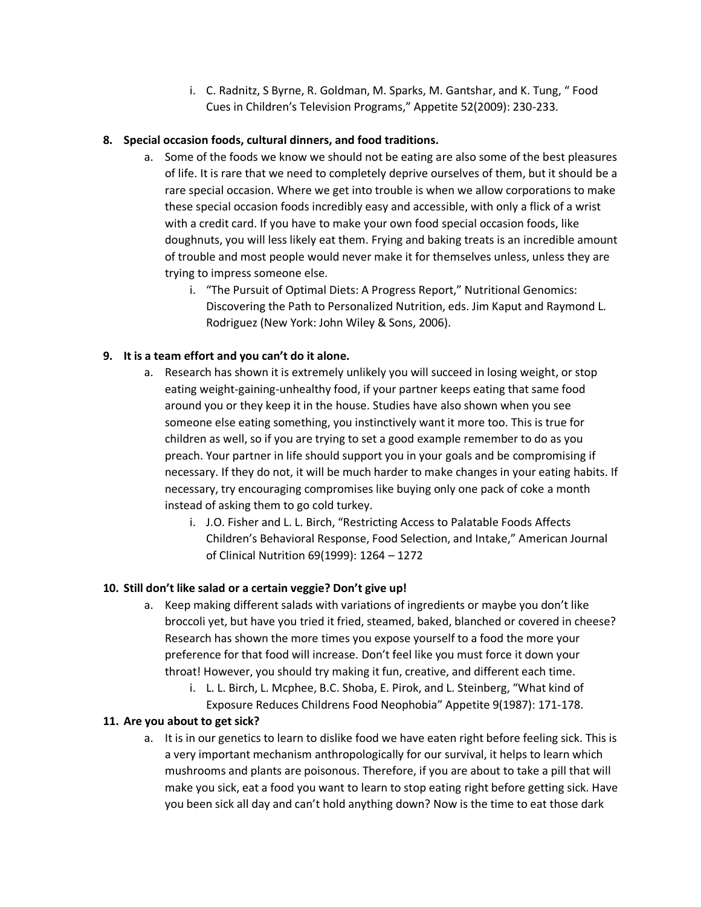i. C. Radnitz, S Byrne, R. Goldman, M. Sparks, M. Gantshar, and K. Tung, " Food Cues in Children's Television Programs," Appetite 52(2009): 230-233.

# **8. Special occasion foods, cultural dinners, and food traditions.**

- a. Some of the foods we know we should not be eating are also some of the best pleasures of life. It is rare that we need to completely deprive ourselves of them, but it should be a rare special occasion. Where we get into trouble is when we allow corporations to make these special occasion foods incredibly easy and accessible, with only a flick of a wrist with a credit card. If you have to make your own food special occasion foods, like doughnuts, you will less likely eat them. Frying and baking treats is an incredible amount of trouble and most people would never make it for themselves unless, unless they are trying to impress someone else.
	- i. "The Pursuit of Optimal Diets: A Progress Report," Nutritional Genomics: Discovering the Path to Personalized Nutrition, eds. Jim Kaput and Raymond L. Rodriguez (New York: John Wiley & Sons, 2006).

# **9. It is a team effort and you can't do it alone.**

- a. Research has shown it is extremely unlikely you will succeed in losing weight, or stop eating weight-gaining-unhealthy food, if your partner keeps eating that same food around you or they keep it in the house. Studies have also shown when you see someone else eating something, you instinctively want it more too. This is true for children as well, so if you are trying to set a good example remember to do as you preach. Your partner in life should support you in your goals and be compromising if necessary. If they do not, it will be much harder to make changes in your eating habits. If necessary, try encouraging compromises like buying only one pack of coke a month instead of asking them to go cold turkey.
	- i. J.O. Fisher and L. L. Birch, "Restricting Access to Palatable Foods Affects Children's Behavioral Response, Food Selection, and Intake," American Journal of Clinical Nutrition 69(1999): 1264 – 1272

## **10. Still don't like salad or a certain veggie? Don't give up!**

- a. Keep making different salads with variations of ingredients or maybe you don't like broccoli yet, but have you tried it fried, steamed, baked, blanched or covered in cheese? Research has shown the more times you expose yourself to a food the more your preference for that food will increase. Don't feel like you must force it down your throat! However, you should try making it fun, creative, and different each time.
	- i. L. L. Birch, L. Mcphee, B.C. Shoba, E. Pirok, and L. Steinberg, "What kind of Exposure Reduces Childrens Food Neophobia" Appetite 9(1987): 171-178.

## **11. Are you about to get sick?**

a. It is in our genetics to learn to dislike food we have eaten right before feeling sick. This is a very important mechanism anthropologically for our survival, it helps to learn which mushrooms and plants are poisonous. Therefore, if you are about to take a pill that will make you sick, eat a food you want to learn to stop eating right before getting sick. Have you been sick all day and can't hold anything down? Now is the time to eat those dark